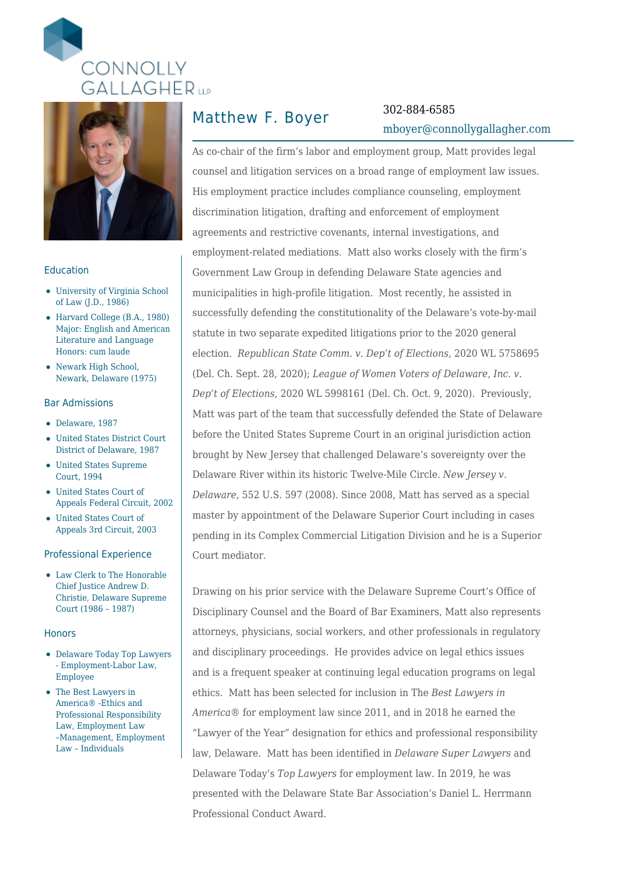



### Education

- University of Virginia School of Law (J.D., 1986)
- Harvard College (B.A., 1980) Major: English and American Literature and Language Honors: cum laude
- Newark High School, Newark, Delaware (1975)

### Bar Admissions

- Delaware, 1987
- United States District Court District of Delaware, 1987
- United States Supreme Court, 1994
- United States Court of Appeals Federal Circuit, 2002
- United States Court of Appeals 3rd Circuit, 2003

### Professional Experience

Law Clerk to The Honorable Chief Justice Andrew D. Christie, Delaware Supreme Court (1986 – 1987)

#### **Honors**

- Delaware Today Top Lawyers - Employment-Labor Law, Employee
- The Best Lawyers in America® -Ethics and Professional Responsibility Law, Employment Law –Management, Employment Law – Individuals

# Matthew F. Boyer 302-884-6585

# [mboyer@connollygallagher.com](mailto:mboyer@connollygallagher.com)

As co-chair of the firm's labor and employment group, Matt provides legal counsel and litigation services on a broad range of employment law issues. His employment practice includes compliance counseling, employment discrimination litigation, drafting and enforcement of employment agreements and restrictive covenants, internal investigations, and employment-related mediations. Matt also works closely with the firm's Government Law Group in defending Delaware State agencies and municipalities in high-profile litigation. Most recently, he assisted in successfully defending the constitutionality of the Delaware's vote-by-mail statute in two separate expedited litigations prior to the 2020 general election. *Republican State Comm. v. Dep't of Elections*, 2020 WL 5758695 (Del. Ch. Sept. 28, 2020); *League of Women Voters of Delaware, Inc. v. Dep't of Elections*, 2020 WL 5998161 (Del. Ch. Oct. 9, 2020). Previously, Matt was part of the team that successfully defended the State of Delaware before the United States Supreme Court in an original jurisdiction action brought by New Jersey that challenged Delaware's sovereignty over the Delaware River within its historic Twelve-Mile Circle. *New Jersey v. Delaware*, 552 U.S. 597 (2008). Since 2008, Matt has served as a special master by appointment of the Delaware Superior Court including in cases pending in its Complex Commercial Litigation Division and he is a Superior Court mediator.

Drawing on his prior service with the Delaware Supreme Court's Office of Disciplinary Counsel and the Board of Bar Examiners, Matt also represents attorneys, physicians, social workers, and other professionals in regulatory and disciplinary proceedings. He provides advice on legal ethics issues and is a frequent speaker at continuing legal education programs on legal ethics. Matt has been selected for inclusion in The *Best Lawyers in America*® for employment law since 2011, and in 2018 he earned the "Lawyer of the Year" designation for ethics and professional responsibility law, Delaware. Matt has been identified in *Delaware Super Lawyers* and Delaware Today's *Top Lawyers* for employment law. In 2019, he was presented with the Delaware State Bar Association's Daniel L. Herrmann Professional Conduct Award.